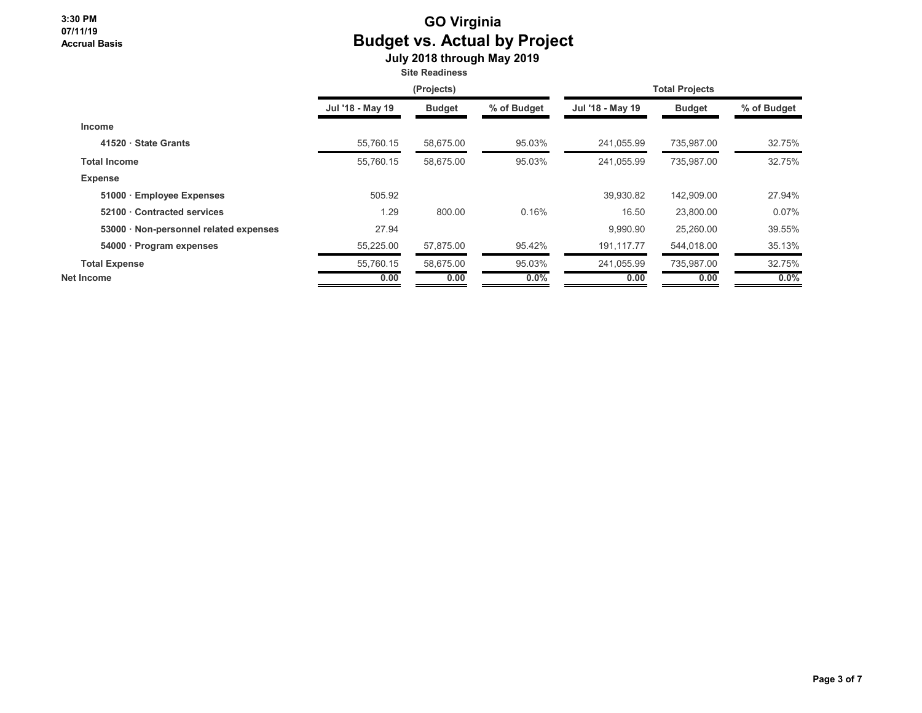## **GO Virginia Budget vs. Actual by Project**

 **July 2018 through May 2019**

**Site Readiness**

|                                        | (Projects)       |               |             | <b>Total Projects</b> |               |             |
|----------------------------------------|------------------|---------------|-------------|-----------------------|---------------|-------------|
|                                        | Jul '18 - May 19 | <b>Budget</b> | % of Budget | Jul '18 - May 19      | <b>Budget</b> | % of Budget |
| <b>Income</b>                          |                  |               |             |                       |               |             |
| 41520 · State Grants                   | 55.760.15        | 58.675.00     | 95.03%      | 241.055.99            | 735,987.00    | 32.75%      |
| <b>Total Income</b>                    | 55,760.15        | 58,675.00     | 95.03%      | 241,055.99            | 735,987.00    | 32.75%      |
| <b>Expense</b>                         |                  |               |             |                       |               |             |
| 51000 · Employee Expenses              | 505.92           |               |             | 39,930.82             | 142,909.00    | 27.94%      |
| 52100 Contracted services              | 1.29             | 800.00        | 0.16%       | 16.50                 | 23,800.00     | 0.07%       |
| 53000 · Non-personnel related expenses | 27.94            |               |             | 9.990.90              | 25,260.00     | 39.55%      |
| 54000 · Program expenses               | 55,225.00        | 57,875.00     | 95.42%      | 191,117.77            | 544,018.00    | 35.13%      |
| <b>Total Expense</b>                   | 55,760.15        | 58.675.00     | 95.03%      | 241,055.99            | 735,987.00    | 32.75%      |
| Net Income                             | 0.00             | 0.00          | $0.0\%$     | 0.00                  | 0.00          | $0.0\%$     |